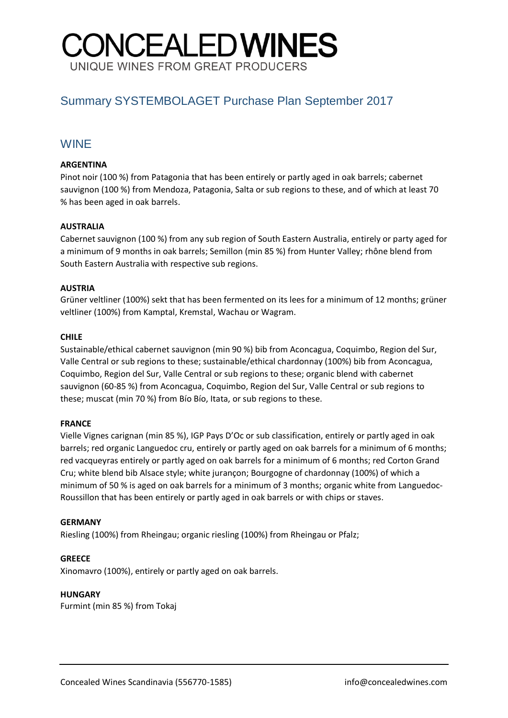# CONCEALEDWINES UNIQUE WINES FROM GREAT PRODUCERS

## Summary SYSTEMBOLAGET Purchase Plan September 2017

### WINE

#### **ARGENTINA**

Pinot noir (100 %) from Patagonia that has been entirely or partly aged in oak barrels; cabernet sauvignon (100 %) from Mendoza, Patagonia, Salta or sub regions to these, and of which at least 70 % has been aged in oak barrels.

#### **AUSTRALIA**

Cabernet sauvignon (100 %) from any sub region of South Eastern Australia, entirely or party aged for a minimum of 9 months in oak barrels; Semillon (min 85 %) from Hunter Valley; rhône blend from South Eastern Australia with respective sub regions.

#### **AUSTRIA**

Grüner veltliner (100%) sekt that has been fermented on its lees for a minimum of 12 months; grüner veltliner (100%) from Kamptal, Kremstal, Wachau or Wagram.

#### **CHILE**

Sustainable/ethical cabernet sauvignon (min 90 %) bib from Aconcagua, Coquimbo, Region del Sur, Valle Central or sub regions to these; sustainable/ethical chardonnay (100%) bib from Aconcagua, Coquimbo, Region del Sur, Valle Central or sub regions to these; organic blend with cabernet sauvignon (60-85 %) from Aconcagua, Coquimbo, Region del Sur, Valle Central or sub regions to these; muscat (min 70 %) from Bío Bío, Itata, or sub regions to these.

#### **FRANCE**

Vielle Vignes carignan (min 85 %), IGP Pays D'Oc or sub classification, entirely or partly aged in oak barrels; red organic Languedoc cru, entirely or partly aged on oak barrels for a minimum of 6 months; red vacqueyras entirely or partly aged on oak barrels for a minimum of 6 months; red Corton Grand Cru; white blend bib Alsace style; white jurançon; Bourgogne of chardonnay (100%) of which a minimum of 50 % is aged on oak barrels for a minimum of 3 months; organic white from Languedoc-Roussillon that has been entirely or partly aged in oak barrels or with chips or staves.

#### **GERMANY**

Riesling (100%) from Rheingau; organic riesling (100%) from Rheingau or Pfalz;

#### **GREECE**

Xinomavro (100%), entirely or partly aged on oak barrels.

#### **HUNGARY**

Furmint (min 85 %) from Tokaj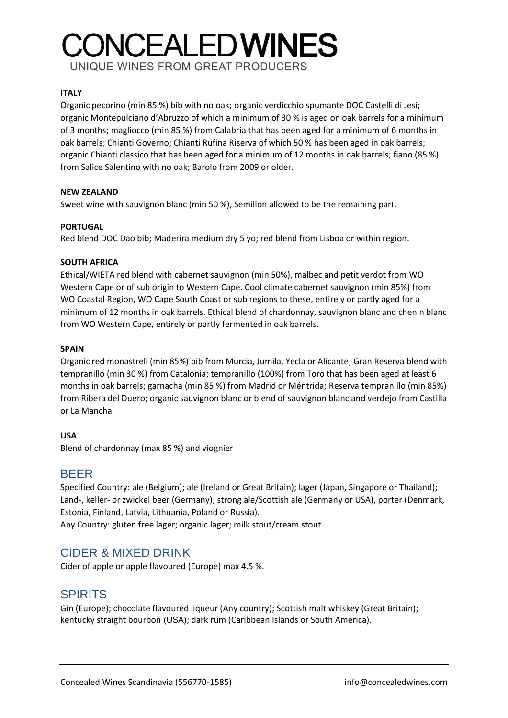# **CONCEALEDWINES** UNIQUE WINES FROM GREAT PRODUCERS

**ITALY** 

Organic pecorino (min 85 %) bib with no oak; organic verdicchio spumante DOC Castelli di Jesi; organic Montepulciano d'Abruzzo of which a minimum of 30 % is aged on oak barrels for a minimum of 3 months; magliocco (min 85 %) from Calabria that has been aged for a minimum of 6 months in oak barrels; Chianti Governo; Chianti Rufina Riserva of which 50 % has been aged in oak barrels; organic Chianti classico that has been aged for a minimum of 12 months in oak barrels; fiano (85 %) from Salice Salentino with no oak; Barolo from 2009 or older.

#### **NEW ZEALAND**

Sweet wine with sauvignon blanc (min 50 %), Semillon allowed to be the remaining part.

#### **PORTUGAL**

Red blend DOC Dao bib; Maderira medium dry 5 yo; red blend from Lisboa or within region.

#### **SOUTH AFRICA**

Ethical/WIETA red blend with cabernet sauvignon (min 50%), malbec and petit verdot from WO Western Cape or of sub origin to Western Cape. Cool climate cabernet sauvignon (min 85%) from WO Coastal Region, WO Cape South Coast or sub regions to these, entirely or partly aged for a minimum of 12 months in oak barrels. Ethical blend of chardonnay, sauvignon blanc and chenin blanc from WO Western Cape, entirely or partly fermented in oak barrels.

#### **SPAIN**

Organic red monastrell (min 85%) bib from Murcia, Jumila, Yecla or Alicante; Gran Reserva blend with tempranillo (min 30 %) from Catalonia; tempranillo (100%) from Toro that has been aged at least 6 months in oak barrels; garnacha (min 85 %) from Madrid or Méntrida; Reserva tempranillo (min 85%) from Ribera del Duero; organic sauvignon blanc or blend of sauvignon blanc and verdejo from Castilla or La Mancha.

#### **USA**

Blend of chardonnay (max 85 %) and viognier

## BEER

Specified Country: ale (Belgium); ale (Ireland or Great Britain); lager (Japan, Singapore or Thailand); Land-, keller- or zwickel beer (Germany); strong ale/Scottish ale (Germany or USA), porter (Denmark, Estonia, Finland, Latvia, Lithuania, Poland or Russia). Any Country: gluten free lager; organic lager; milk stout/cream stout.

## CIDER & MIXED DRINK

Cider of apple or apple flavoured (Europe) max 4.5 %.

## SPIRITS

Gin (Europe); chocolate flavoured liqueur (Any country); Scottish malt whiskey (Great Britain); kentucky straight bourbon (USA); dark rum (Caribbean Islands or South America).